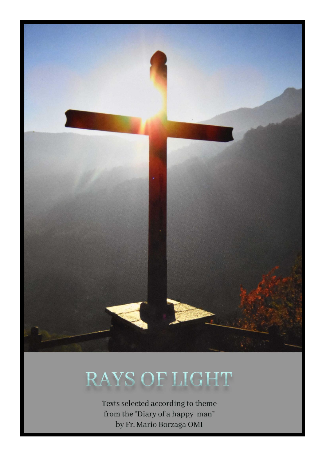

# RAYS OF LIGHT

Texts selected according to theme from the "Diary of a happy man" by Fr. Mario Borzaga OMI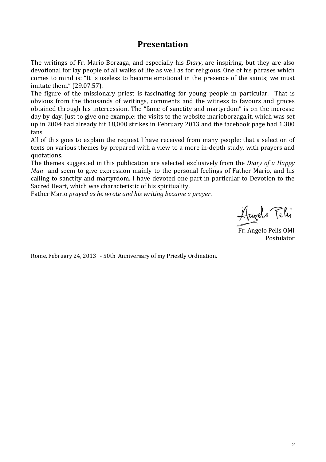#### **Presentation**

The writings of Fr. Mario Borzaga, and especially his *Diary*, are inspiring, but they are also devotional for lay people of all walks of life as well as for religious. One of his phrases which comes to mind is: "It is useless to become emotional in the presence of the saints; we must imitate them." (29.07.57).

The figure of the missionary priest is fascinating for young people in particular. That is obvious from the thousands of writings, comments and the witness to favours and graces obtained through his intercession. The "fame of sanctity and martyrdom" is on the increase day by day. Just to give one example: the visits to the website marioborzaga.it, which was set up in 2004 had already hit 18,000 strikes in February 2013 and the facebook page had 1,300 fans

All of this goes to explain the request I have received from many people: that a selection of texts on various themes by prepared with a view to a more in-depth study, with prayers and quotations.

The themes suggested in this publication are selected exclusively from the *Diary of a Happy Man* and seem to give expression mainly to the personal feelings of Father Mario, and his calling to sanctity and martyrdom. I have devoted one part in particular to Devotion to the Sacred Heart, which was characteristic of his spirituality.

Father Mario *prayed as he wrote and his writing became a prayer*.

Llugels Felix

Fr. Angelo Pelis OMI Postulator

Rome, February 24, 2013 - 50th Anniversary of my Priestly Ordination.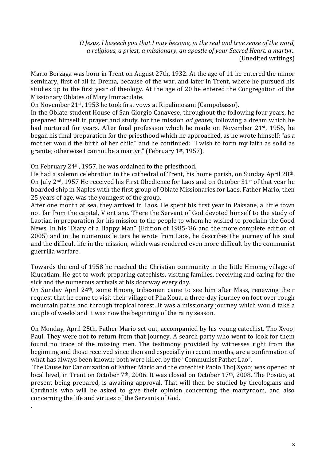*O Jesus, I beseech you that I may become, in the real and true sense of the word, a religious, a priest, a missionary, an apostle of your Sacred Heart, a martyr..* (Unedited writings)

Mario Borzaga was born in Trent on August 27th, 1932. At the age of 11 he entered the minor seminary, first of all in Drema, because of the war, and later in Trent, where he pursued his studies up to the first year of theology. At the age of 20 he entered the Congregation of the Missionary Oblates of Mary Immaculate.

On November 21st , 1953 he took first vows at Ripalimosani (Campobasso).

In the Oblate student House of San Giorgio Canavese, throughout the following four years, he prepared himself in prayer and study, for the mission *ad gentes,* following a dream which he had nurtured for years. After final profession which he made on November 21<sup>st</sup>, 1956, he began his final preparation for the priesthood which he approached, as he wrote himself: "as a mother would the birth of her child" and he continued: "I wish to form my faith as solid as granite; otherwise I cannot be a martyr." (February 1st, 1957).

On February 24th, 1957, he was ordained to the priesthood.

.

He had a solemn celebration in the cathedral of Trent, his home parish, on Sunday April 28th. On July 2<sup>nd</sup>, 1957 He received his First Obedience for Laos and on October 31<sup>st</sup> of that year he boarded ship in Naples with the first group of Oblate Missionaries for Laos. Father Mario, then 25 years of age, was the youngest of the group.

After one month at sea, they arrived in Laos. He spent his first year in Paksane, a little town not far from the capital, Vientiane. There the Servant of God devoted himself to the study of Laotian in preparation for his mission to the people to whom he wished to proclaim the Good News. In his "Diary of a Happy Man" (Edition of 1985-'86 and the more complete edition of 2005) and in the numerous letters he wrote from Laos, he describes the journey of his soul and the difficult life in the mission, which was rendered even more difficult by the communist guerrilla warfare.

Towards the end of 1958 he reached the Christian community in the little Hmomg village of Kiucatiam. He got to work preparing catechists, visiting families, receiving and caring for the sick and the numerous arrivals at his doorway every day.

On Sunday April 24th, some Hmong tribesmen came to see him after Mass, renewing their request that he come to visit their village of Pha Xoua, a three-day journey on foot over rough mountain paths and through tropical forest. It was a missionary journey which would take a couple of weeks and it was now the beginning of the rainy season.

On Monday, April 25th, Father Mario set out, accompanied by his young catechist, Tho Xyooj Paul. They were not to return from that journey. A search party who went to look for them found no trace of the missing men. The testimony provided by witnesses right from the beginning and those received since then and especially in recent months, are a confirmation of what has always been known; both were killed by the "Communist Pathet Lao".

The Cause for Canonization of Father Mario and the catechist Paolo Thoj Xyooj was opened at local level, in Trent on October 7<sup>th</sup>, 2006. It was closed on October 17<sup>th</sup>, 2008. The Positio, at present being prepared, is awaiting approval. That will then be studied by theologians and Cardinals who will be asked to give their opinion concerning the martyrdom, and also concerning the life and virtues of the Servants of God.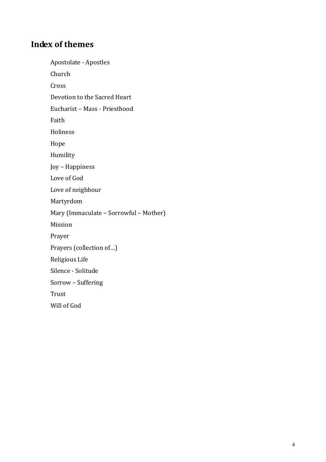#### **Index of themes**

Apostolate - Apostles Church Cross Devotion to the Sacred Heart Eucharist – Mass - Priesthood Faith Holiness Hope Humility Joy – Happiness Love of God Love of neighbour Martyrdom Mary (Immaculate – Sorrowful – Mother) Mission Prayer Prayers (collection of…) Religious Life Silence - Solitude Sorrow – Suffering Trust Will of God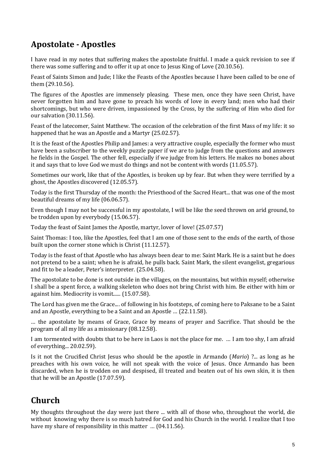# **Apostolate - Apostles**

I have read in my notes that suffering makes the apostolate fruitful. I made a quick revision to see if there was some suffering and to offer it up at once to Jesus King of Love (20.10.56).

Feast of Saints Simon and Jude; I like the Feasts of the Apostles because I have been called to be one of them (29.10.56).

The figures of the Apostles are immensely pleasing. These men, once they have seen Christ, have never forgotten him and have gone to preach his words of love in every land; men who had their shortcomings, but who were driven, impassioned by the Cross, by the suffering of Him who died for our salvation (30.11.56).

Feast of the latecomer, Saint Matthew. The occasion of the celebration of the first Mass of my life: it so happened that he was an Apostle and a Martyr (25.02.57).

It is the feast of the Apostles Philip and James: a very attractive couple, especially the former who must have been a subscriber to the weekly puzzle paper if we are to judge from the questions and answers he fields in the Gospel. The other fell, especially if we judge from his letters. He makes no bones about it and says that to love God we must do things and not be content with words (11.05.57).

Sometimes our work, like that of the Apostles, is broken up by fear. But when they were terrified by a ghost, the Apostles discovered (12.05.57).

Today is the first Thursday of the month: the Priesthood of the Sacred Heart... that was one of the most beautiful dreams of my life (06.06.57).

Even though I may not be successful in my apostolate, I will be like the seed thrown on arid ground, to be trodden upon by everybody (15.06.57).

Today the feast of Saint James the Apostle, martyr, lover of love! (25.07.57)

Saint Thomas: I too, like the Apostles, feel that I am one of those sent to the ends of the earth, of those built upon the corner stone which is Christ (11.12.57).

Today is the feast of that Apostle who has always been dear to me: Saint Mark. He is a saint but he does not pretend to be a saint; when he is afraid, he pulls back. Saint Mark, the silent evangelist, gregarious and fit to be a leader, Peter's interpreter. (25.04.58).

The apostolate to be done is not outside in the villages, on the mountains, but within myself; otherwise I shall be a spent force, a walking skeleton who does not bring Christ with him. Be either with him or against him. Mediocrity is vomit...... (15.07.58).

The Lord has given me the Grace.... of following in his footsteps, of coming here to Paksane to be a Saint and an Apostle, everything to be a Saint and an Apostle … (22.11.58).

… the apostolate by means of Grace, Grace by means of prayer and Sacrifice. That should be the program of all my life as a missionary (08.12.58).

I am tormented with doubts that to be here in Laos is not the place for me. … I am too shy, I am afraid of everything... 20.02.59).

Is it not the Crucified Christ Jesus who should be the apostle in Armando (*Mario*) ?... as long as he preaches with his own voice, he will not speak with the voice of Jesus. Once Armando has been discarded, when he is trodden on and despised, ill treated and beaten out of his own skin, it is then that he will be an Apostle (17.07.59).

## **Church**

My thoughts throughout the day were just there ... with all of those who, throughout the world, die without knowing why there is so much hatred for God and his Church in the world. I realize that I too have my share of responsibility in this matter … (04.11.56).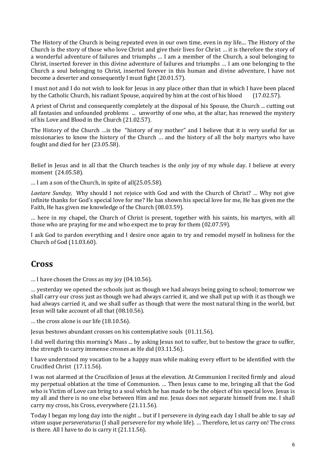The History of the Church is being repeated even in our own time, even in my life.... The History of the Church is the story of those who love Christ and give their lives for Christ … it is therefore the story of a wonderful adventure of failures and triumphs … I am a member of the Church, a soul belonging to Christ, inserted forever in this divine adventure of failures and triumphs … I am one belonging to the Church a soul belonging to Christ, inserted forever in this human and divine adventure, I have not become a deserter and consequently I must fight (20.01.57).

I must not and I do not wish to look for Jesus in any place other than that in which I have been placed by the Catholic Church, his radiant Spouse, acquired by him at the cost of his blood (17.02.57).

A priest of Christ and consequently completely at the disposal of his Spouse, the Church ... cutting out all fantasies and unfounded problems ... unworthy of one who, at the altar, has renewed the mystery of his Love and Blood in the Church (21.02.57).

The History of the Church …is the "history of my mother" and I believe that it is very useful for us missionaries to know the history of the Church … and the history of all the holy martyrs who have fought and died for her (23.05.58).

Belief in Jesus and in all that the Church teaches is the only joy of my whole day. I believe at every moment (24.05.58).

… I am a son of the Church, in spite of all(25.05.58).

*Laetare Sunday,* Why should I not rejoice with God and with the Church of Christ? … Why not give infinite thanks for God's special love for me? He has shown his special love for me, He has given me the Faith, He has given me knowledge of the Church (08.03.59).

… here in my chapel, the Church of Christ is present, together with his saints, his martyrs, with all those who are praying for me and who expect me to pray for them (02.07.59).

I ask God to pardon everything and I desire once again to try and remodel myself in holiness for the Church of God (11.03.60).

#### **Cross**

… I have chosen the Cross as my joy (04.10.56).

… yesterday we opened the schools just as though we had always being going to school; tomorrow we shall carry our cross just as though we had always carried it, and we shall put up with it as though we had always carried it, and we shall suffer as though that were the most natural thing in the world, but Jesus will take account of all that (08.10.56).

… the cross alone is our life (18.10.56).

Jesus bestows abundant crosses on his contemplative souls (01.11.56).

I did well during this morning's Mass ... by asking Jesus not to suffer, but to bestow the grace to suffer, the strength to carry immense crosses as He did (03.11.56).

I have understood my vocation to be a happy man while making every effort to be identified with the Crucified Christ (17.11.56).

I was not alarmed at the Crucifixion of Jesus at the elevation. At Communion I recited firmly and aloud my perpetual oblation at the time of Communion. … Then Jesus came to me, bringing all that the God who is Victim of Love can bring to a soul which he has made to be the object of his special love. Jesus is my all and there is no one else between Him and me. Jesus does not separate himself from me. I shall carry my cross, his Cross, everywhere (21.11.56).

Today I began my long day into the night ... but if I persevere in dying each day I shall be able to say *ad vitam usque perseveraturus* (I shall persevere for my whole life). … Therefore, let us carry on! The cross is there. All I have to do is carry it (21.11.56).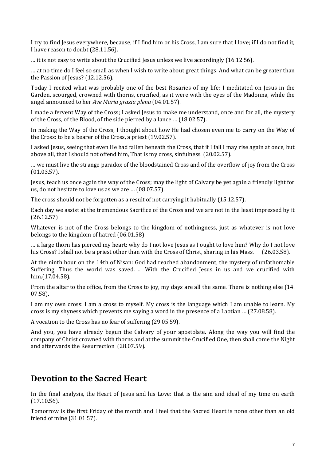I try to find Jesus everywhere, because, if I find him or his Cross, I am sure that I love; if I do not find it, I have reason to doubt (28.11.56).

… it is not easy to write about the Crucified Jesus unless we live accordingly (16.12.56).

… at no time do I feel so small as when I wish to write about great things. And what can be greater than the Passion of Jesus? (12.12.56).

Today I recited what was probably one of the best Rosaries of my life; I meditated on Jesus in the Garden, scourged, crowned with thorns, crucified, as it were with the eyes of the Madonna, while the angel announced to her *Ave Maria grazia plena* (04.01.57).

I made a fervent Way of the Cross; I asked Jesus to make me understand, once and for all, the mystery of the Cross, of the Blood, of the side pierced by a lance … (18.02.57).

In making the Way of the Cross, I thought about how He had chosen even me to carry on the Way of the Cross: to be a bearer of the Cross, a priest (19.02.57).

I asked Jesus, seeing that even He had fallen beneath the Cross, that if I fall I may rise again at once, but above all, that I should not offend him, That is my cross, sinfulness. (20.02.57).

… we must live the strange paradox of the bloodstained Cross and of the overflow of joy from the Cross (01.03.57).

Jesus, teach us once again the way of the Cross; may the light of Calvary be yet again a friendly light for us, do not hesitate to love us as we are … (08.07.57).

The cross should not be forgotten as a result of not carrying it habitually (15.12.57).

Each day we assist at the tremendous Sacrifice of the Cross and we are not in the least impressed by it (26.12.57)

Whatever is not of the Cross belongs to the kingdom of nothingness, just as whatever is not love belongs to the kingdom of hatred (06.01.58).

… a large thorn has pierced my heart; why do I not love Jesus as I ought to love him? Why do I not love his Cross? I shall not be a priest other than with the Cross of Christ, sharing in his Mass. (26.03.58).

At the ninth hour on the 14th of Nisan: God had reached abandonment, the mystery of unfathomable Suffering. Thus the world was saved. ... With the Crucified Jesus in us and we crucified with him.(17.04.58).

From the altar to the office, from the Cross to joy, my days are all the same. There is nothing else (14. 07.58).

I am my own cross: I am a cross to myself. My cross is the language which I am unable to learn. My cross is my shyness which prevents me saying a word in the presence of a Laotian … (27.08.58).

A vocation to the Cross has no fear of suffering (29.05.59).

And you, you have already begun the Calvary of your apostolate. Along the way you will find the company of Christ crowned with thorns and at the summit the Crucified One, then shall come the Night and afterwards the Resurrection (28.07.59).

#### **Devotion to the Sacred Heart**

In the final analysis, the Heart of Jesus and his Love: that is the aim and ideal of my time on earth (17.10.56).

Tomorrow is the first Friday of the month and I feel that the Sacred Heart is none other than an old friend of mine (31.01.57).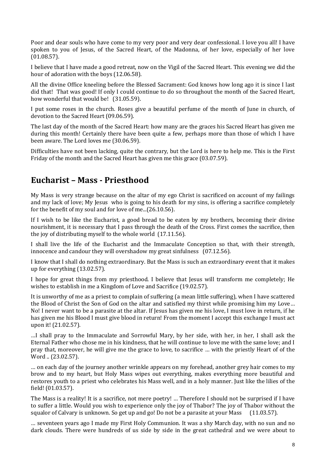Poor and dear souls who have come to my very poor and very dear confessional. I love you all! I have spoken to you of Jesus, of the Sacred Heart, of the Madonna, of her love, especially of her love (01.08.57).

I believe that I have made a good retreat, now on the Vigil of the Sacred Heart. This evening we did the hour of adoration with the boys (12.06.58).

All the divine Office kneeling before the Blessed Sacrament: God knows how long ago it is since I last did that! That was good! If only I could continue to do so throughout the month of the Sacred Heart, how wonderful that would be! (31.05.59).

I put some roses in the church. Roses give a beautiful perfume of the month of June in church, of devotion to the Sacred Heart (09.06.59).

The last day of the month of the Sacred Heart: how many are the graces his Sacred Heart has given me during this month! Certainly there have been quite a few, perhaps more than those of which I have been aware. The Lord loves me (30.06.59).

Difficulties have not been lacking, quite the contrary, but the Lord is here to help me. This is the First Friday of the month and the Sacred Heart has given me this grace (03.07.59).

## **Eucharist – Mass - Priesthood**

My Mass is very strange because on the altar of my ego Christ is sacrificed on account of my failings and my lack of love; My Jesus who is going to his death for my sins, is offering a sacrifice completely for the benefit of my soul and for love of me...(26.10.56).

If I wish to be like the Eucharist, a good bread to be eaten by my brothers, becoming their divine nourishment, it is necessary that I pass through the death of the Cross. First comes the sacrifice, then the joy of distributing myself to the whole world (17.11.56).

I shall live the life of the Eucharist and the Immaculate Conception so that, with their strength, innocence and candour they will overshadow my great sinfulness (07.12.56).

I know that I shall do nothing extraordinary. But the Mass is such an extraordinary event that it makes up for everything (13.02.57).

I hope for great things from my priesthood. I believe that Jesus will transform me completely; He wishes to establish in me a Kingdom of Love and Sacrifice (19.02.57).

It is unworthy of me as a priest to complain of suffering (a mean little suffering), when I have scattered the Blood of Christ the Son of God on the altar and satisfied my thirst while promising him my Love… No! I never want to be a parasite at the altar. If Jesus has given me his love, I must love in return, if he has given me his Blood I must give blood in return! From the moment I accept this exchange I must act upon it! (21.02.57).

…I shall pray to the Immaculate and Sorrowful Mary, by her side, with her, in her, I shall ask the Eternal Father who chose me in his kindness, that he will continue to love me with the same love; and I pray that, moreover, he will give me the grace to love, to sacrifice … with the priestly Heart of of the Word .. (23.02.57).

… on each day of the journey another wrinkle appears on my forehead, another grey hair comes to my brow and to my heart, but Holy Mass wipes out everything, makes everything more beautiful and restores youth to a priest who celebrates his Mass well, and in a holy manner. Just like the lilies of the field! (01.03.57).

The Mass is a reality! It is a sacrifice, not mere poetry! … Therefore I should not be surprised if I have to suffer a little. Would you wish to experience only the joy of Thabor? The joy of Thabor without the squalor of Calvary is unknown. So get up and go! Do not be a parasite at your Mass (11.03.57).

… seventeen years ago I made my First Holy Communion. It was a shy March day, with no sun and no dark clouds. There were hundreds of us side by side in the great cathedral and we were about to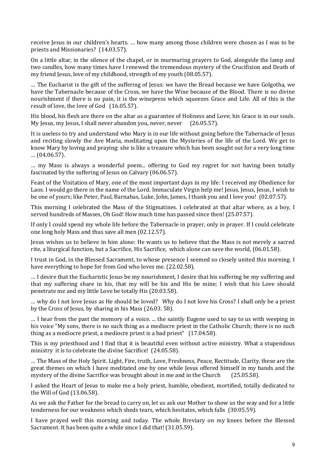receive Jesus in our children's hearts. … how many among those children were chosen as I was to be priests and Missionaries? (14.03.57).

On a little altar, in the silence of the chapel, or in murmuring prayers to God, alongside the lamp and two candles, how many times have I renewed the tremendous mystery of the Crucifixion and Death of my friend Jesus, love of my childhood, strength of my youth (08.05.57).

… The Eucharist is the gift of the suffering of Jesus: we have the Bread because we have Golgotha, we have the Tabernacle because of the Cross, we have the Wine because of the Blood. There is no divine nourishment if there is no pain, it is the winepress which squeezes Grace and Life. All of this is the result of love, the love of God (16.05.57).

His blood, his flesh are there on the altar as a guarantee of Holiness and Love; his Grace is in our souls. My Jesus, my Jesus, I shall never abandon you, never, never (26.05.57).

It is useless to try and understand who Mary is in our life without going before the Tabernacle of Jesus and reciting slowly the Ave Maria, meditating upon the Mysteries of the life of the Lord. We get to know Mary by loving and praying: she is like a treasure which has been sought out for a very long time … (04.06.57).

… my Mass is always a wonderful poem... offering to God my regret for not having been totally fascinated by the suffering of Jesus on Calvary (06.06.57).

Feast of the Visitation of Mary, one of the most important days in my life: I received my Obedience for Laos. I would go there in the name of the Lord. Immaculate Virgin help me! Jesus, Jesus, Jesus, I wish to be one of yours; like Peter, Paul, Barnabas, Luke, John, James, I thank you and I love you! (02.07.57).

This morning I celebrated the Mass of the Stigmatines. I celebrated at that altar where, as a boy, I served hundreds of Masses, Oh God! How much time has passed since then! (25.07.57).

If only I could spend my whole life before the Tabernacle in prayer, only in prayer. If I could celebrate one long holy Mass and thus save all men (02.12.57).

Jesus wishes us to believe in him alone: He wants us to believe that the Mass is not merely a sacred rite, a liturgical function, but a Sacrifice, His Sacrifice, which alone can save the world, (06.01.58).

I trust in God, in the Blessed Sacrament, to whose presence I seemed so closely united this morning. I have everything to hope for from God who loves me. (22.02.58).

… I desire that the Eucharistic Jesus be my nourishment, I desire that his suffering be my suffering and that my suffering share in his, that my will be his and His be mine; I wish that his Love should penetrate me and my little Love be totally His (20.03.58).

… why do I not love Jesus as He should be loved? Why do I not love his Cross? I shall only be a priest by the Cross of Jesus, by sharing in his Mass (26.03. 58).

… I hear from the past the memory of a voice. ... the saintly Eugene used to say to us with weeping in his voice "My sons, there is no such thing as a mediocre priest in the Catholic Church; there is no such thing as a mediocre priest, a mediocre priest is a bad priest" (17.04.58).

This is my priesthood and I find that it is beautiful even without active ministry. What a stupendous ministry it is to celebrate the divine Sacrifice! (24.05.58).

… The Mass of the Holy Spirit. Light, Fire, truth, Love, Freshness, Peace, Rectitude, Clarity, these are the great themes on which I have meditated one by one while Jesus offered himself in my hands and the mystery of the divine Sacrifice was brought about in me and in the Church (25.05.58).

I asked the Heart of Jesus to make me a holy priest, humble, obedient, mortified, totally dedicated to the Will of God (13.06.58).

As we ask the Father for the bread to carry on, let us ask our Mother to show us the way and for a little tenderness for our weakness which sheds tears, which hesitates, which falls (30.05.59).

I have prayed well this morning and today. The whole Breviary on my knees before the Blessed Sacrament. It has been quite a while since I did that! (31.05.59).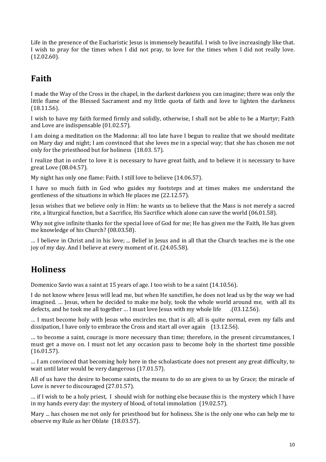Life in the presence of the Eucharistic Jesus is immensely beautiful. I wish to live increasingly like that. I wish to pray for the times when I did not pray, to love for the times when I did not really love. (12.02.60).

## **Faith**

I made the Way of the Cross in the chapel, in the darkest darkness you can imagine; there was only the little flame of the Blessed Sacrament and my little quota of faith and love to lighten the darkness (18.11.56).

I wish to have my faith formed firmly and solidly, otherwise, I shall not be able to be a Martyr; Faith and Love are indispensable (01.02.57).

I am doing a meditation on the Madonna: all too late have I begun to realize that we should meditate on Mary day and night; I am convinced that she loves me in a special way; that she has chosen me not only for the priesthood but for holiness (18.03. 57).

I realize that in order to love it is necessary to have great faith, and to believe it is necessary to have great Love (08.04.57).

My night has only one flame: Faith. I still love to believe (14.06.57).

I have so much faith in God who guides my footsteps and at times makes me understand the gentleness of the situations in which He places me (22.12.57).

Jesus wishes that we believe only in Him: he wants us to believe that the Mass is not merely a sacred rite, a liturgical function, but a Sacrifice, His Sacrifice which alone can save the world (06.01.58).

Why not give infinite thanks for the special love of God for me; He has given me the Faith, He has given me knowledge of his Church? (08.03.58).

… I believe in Christ and in his love; ... Belief in Jesus and in all that the Church teaches me is the one joy of my day. And I believe at every moment of it. (24.05.58).

# **Holiness**

Domenico Savio was a saint at 15 years of age. I too wish to be a saint (14.10.56).

I do not know where Jesus will lead me, but when He sanctifies, he does not lead us by the way we had imagined. … Jesus, when he decided to make me holy, took the whole world around me, with all its defects, and he took me all together … I must love Jesus with my whole life .(03.12.56).

… I must become holy with Jesus who encircles me, that is all; all is quite normal, even my falls and dissipation, I have only to embrace the Cross and start all over again (13.12.56).

… to become a saint, courage is more necessary than time; therefore, in the present circumstances, I must get a move on. I must not let any occasion pass to become holy in the shortest time possible (16.01.57).

… I am convinced that becoming holy here in the scholasticate does not present any great difficulty, to wait until later would be very dangerous (17.01.57).

All of us have the desire to become saints, the means to do so are given to us by Grace; the miracle of Love is never to discouraged (27.01.57).

… if I wish to be a holy priest, I should wish for nothing else because this is the mystery which I have in my hands every day: the mystery of blood, of total immolation (19.02.57).

Mary ... has chosen me not only for priesthood but for holiness. She is the only one who can help me to observe my Rule as her Oblate (18.03.57).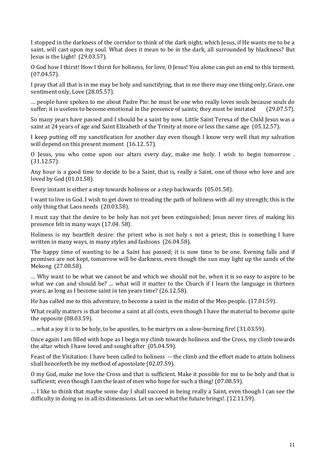I stopped in the darkness of the corridor to think of the dark night, which Jesus, if He wants me to be a saint, will cast upon my soul. What does it mean to be in the dark, all surrounded by blackness? But Jesus is the Light! (29.03.57).

O God how I thirst! How I thirst for holiness, for love, O Jesus! You alone can put an end to this torment. (07.04.57).

I pray that all that is in me may be holy and sanctifying, that in me there may one thing only, Grace, one sentiment only, Love (28.05.57).

… people have spoken to me about Padre Pio: he must be one who really loves souls because souls do suffer; it is useless to become emotional in the presence of saints; they must be imitated (29.07.57).

So many years have passed and I should be a saint by now. Little Saint Teresa of the Child Jesus was a saint at 24 years of age and Saint Elizabeth of the Trinity at more or less the same age (05.12.57).

I keep putting off my sanctification for another day even though I know very well that my salvation will depend on this present moment (16.12. 57).

O Jesus, you who come upon our altars every day, make me holy. I wish to begin tomorrow . (31.12.57).

Any hour is a good time to decide to be a Saint, that is, really a Saint, one of those who love and are loved by God (01.01.58).

Every instant is either a step towards holiness or a step backwards (05.01.58).

I want to live in God. I wish to get down to treading the path of holiness with all my strength; this is the only thing that Laos needs (20.03.58).

I must say that the desire to be holy has not yet been extinguished; Jesus never tires of making his presence felt in many ways (17.04. 58).

Holiness is my heartfelt desire: the priest who is not holy s not a priest; this is something I have written in many ways, in many styles and fashions (26.04.58).

The happy time of wanting to be a Saint has passed; it is now time to be one. Evening falls and if promises are not kept, tomorrow will be darkness, even though the sun may light up the sands of the Mekong (27.08.58).

… Why want to be what we cannot be and which we should not be, when it is so easy to aspire to be what we can and should be? ... what will it matter to the Church if I learn the language in thirteen years, as long as I become saint in ten years time? (26.12.58).

He has called me to this adventure, to become a saint in the midst of the Meo people. (17.01.59).

What really matters is that become a saint at all costs, even though I have the material to become quite the opposite (08.03.59).

… what a joy it is to be holy, to be apostles, to be martyrs on a slow-burning fire! (31.03.59).

Once again I am filled with hope as I begin my climb towards holiness and the Cross, my climb towards the altar which I have loved and sought after (05.04.59).

Feast of the Visitation: I have been called to holiness -- the climb and the effort made to attain holiness shall henceforth be my method of apostolate (02.07.59).

O my God, make me love the Cross and that is sufficient. Make it possible for me to be holy and that is sufficient; even though I am the least of men who hope for such a thing! (07.08.59).

… I like to think that maybe some day I shall succeed in being really a Saint, even though I can see the difficulty in doing so in all its dimensions. Let us see what the future brings!. (12.11.59).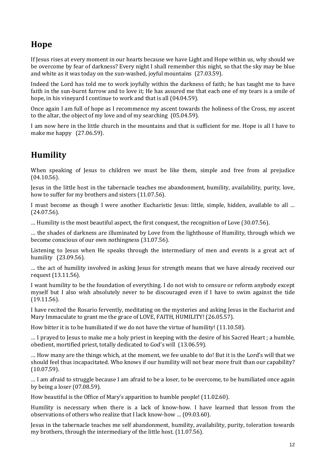# **Hope**

If Jesus rises at every moment in our hearts because we have Light and Hope within us, why should we be overcome by fear of darkness? Every night I shall remember this night, so that the sky may be blue and white as it was today on the sun-washed, joyful mountains (27.03.59).

Indeed the Lord has told me to work joyfully within the darkness of faith; he has taught me to have faith in the sun-burnt furrow and to love it; He has assured me that each one of my tears is a smile of hope, in his vineyard I continue to work and that is all (04.04.59).

Once again I am full of hope as I recommence my ascent towards the holiness of the Cross, my ascent to the altar, the object of my love and of my searching (05.04.59).

I am now here in the little church in the mountains and that is sufficient for me. Hope is all I have to make me happy (27.06.59).

# **Humility**

When speaking of Jesus to children we must be like them, simple and free from al prejudice (04.10.56).

Jesus in the little host in the tabernacle teaches me abandonment, humility, availability, purity, love, how to suffer for my brothers and sisters (11.07.56).

I must become as though I were another Eucharistic Jesus: little, simple, hidden, available to all … (24.07.56).

… Humility is the most beautiful aspect, the first conquest, the recognition of Love (30.07.56).

… the shades of darkness are illuminated by Love from the lighthouse of Humility, through which we become conscious of our own nothingness (31.07.56).

Listening to Jesus when He speaks through the intermediary of men and events is a great act of humility (23.09.56).

... the act of humility involved in asking Jesus for strength means that we have already received our request (13.11.56).

I want humility to be the foundation of everything. I do not wish to censure or reform anybody except myself but I also wish absolutely never to be discouraged even if I have to swim against the tide (19.11.56).

I have recited the Rosario fervently, meditating on the mysteries and asking Jesus in the Eucharist and Mary Immaculate to grant me the grace of LOVE, FAITH, HUMILITY! (26.05.57).

How bitter it is to be humiliated if we do not have the virtue of humility! (11.10.58).

… I prayed to Jesus to make me a holy priest in keeping with the desire of his Sacred Heart ; a humble, obedient, mortified priest, totally dedicated to God's will (13.06.59).

… How many are the things which, at the moment, we fee unable to do! But it is the Lord's will that we should feel thus incapacitated. Who knows if our humility will not bear more fruit than our capability? (10.07.59).

… I am afraid to struggle because I am afraid to be a loser, to be overcome, to be humiliated once again by being a loser (07.08.59).

How beautiful is the Office of Mary's apparition to humble people! (11.02.60).

Humility is necessary when there is a lack of know-how. I have learned that lesson from the observations of others who realize that I lack know-how … (09.03.60).

Jesus in the tabernacle teaches me self abandonment, humility, availability, purity, toleration towards my brothers, through the intermediary of the little host. (11.07.56).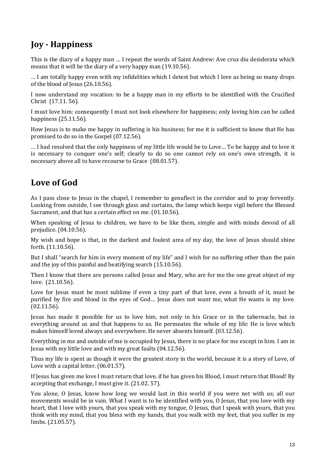# **Joy - Happiness**

This is the diary of a happy man … I repeat the words of Saint Andrew: Ave crux diu desiderata which means that it will be the diary of a very happy man (19.10.56).

… I am totally happy even with my infidelities which I detest but which I love as being so many drops of the blood of Jesus (26.10.56).

I now understand my vocation: to be a happy man in my efforts to be identified with the Crucified Christ (17.11. 56).

I must love him: consequently I must not look elsewhere for happiness; only loving him can be called happiness (25.11.56).

How Jesus is to make me happy in suffering is his business; for me it is sufficient to know that He has promised to do so in the Gospel (07.12.56).

… I had resolved that the only happiness of my little life would be to Love… To be happy and to love it is necessary to conquer one's self; clearly to do so one cannot rely on one's own strength, it is necessary above all to have recourse to Grace (08.01.57).

# **Love of God**

As I pass close to Jesus in the chapel, I remember to genuflect in the corridor and to pray fervently. Looking from outside, I see through glass and curtains, the lamp which keeps vigil before the Blessed Sacrament, and that has a certain effect on me. (01.10.56).

When speaking of Jesus to children, we have to be like them, simple and with minds devoid of all prejudice. (04.10.56).

My wish and hope is that, in the darkest and foulest area of my day, the love of Jesus should shine forth. (11.10.56).

But I shall "search for him in every moment of my life" and I wish for no suffering other than the pain and the joy of this painful and beatifying search (15.10.56).

Then I know that there are persons called Jesus and Mary, who are for me the one great object of my love. (21.10.56).

Love for Jesus must be most sublime if even a tiny part of that love, even a breath of it, must be purified by fire and blood in the eyes of God… Jesus does not want me, what He wants is my love. (02.11.56).

Jesus has made it possible for us to love him, not only in his Grace or in the tabernacle, but in everything around us and that happens to us. He permeates the whole of my life: He is love which makes himself loved always and everywhere. He never absents himself. (03.12.56).

Everything in me and outside of me is occupied by Jesus, there is no place for me except in him. I am in Jesus with my little love and with my great faults (04.12.56).

Thus my life is spent as though it were the greatest story in the world, because it is a story of Love, of Love with a capital letter. (06.01.57).

If Jesus has given me love I must return that love, if he has given his Blood, I must return that Blood! By accepting that exchange, I must give it. (21.02. 57).

You alone, O Jesus, know how long we would last in this world if you were not with us; all our movements would be in vain. What I want is to be identified with you, O Jesus, that you love with my heart, that I love with yours, that you speak with my tongue, O Jesus, that I speak with yours, that you think with my mind, that you bless with my hands, that you walk with my feet, that you suffer in my limbs. (21.05.57).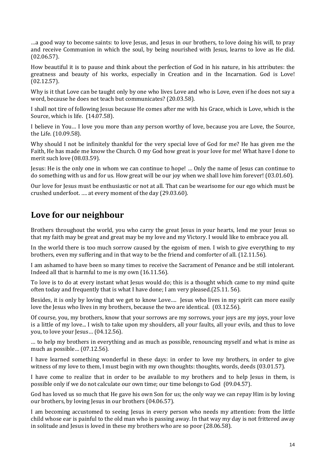…a good way to become saints: to love Jesus, and Jesus in our brothers, to love doing his will, to pray and receive Communion in which the soul, by being nourished with Jesus, learns to love as He did. (02.06.57).

How beautiful it is to pause and think about the perfection of God in his nature, in his attributes: the greatness and beauty of his works, especially in Creation and in the Incarnation. God is Love! (02.12.57).

Why is it that Love can be taught only by one who lives Love and who is Love, even if he does not say a word, because he does not teach but communicates? (20.03.58).

I shall not tire of following Jesus because He comes after me with his Grace, which is Love, which is the Source, which is life. (14.07.58).

I believe in You… I love you more than any person worthy of love, because you are Love, the Source, the Life. (10.09.58).

Why should I not be infinitely thankful for the very special love of God for me? He has given me the Faith, He has made me know the Church. O my God how great is your love for me! What have I done to merit such love (08.03.59).

Jesus: He is the only one in whom we can continue to hope! … Only the name of Jesus can continue to do something with us and for us. How great will be our joy when we shall love him forever! (03.01.60).

Our love for Jesus must be enthusiastic or not at all. That can be wearisome for our ego which must be crushed underfoot. …. at every moment of the day (29.03.60).

## **Love for our neighbour**

Brothers throughout the world, you who carry the great Jesus in your hearts, lend me your Jesus so that my faith may be great and great may be my love and my Victory. I would like to embrace you all.

In the world there is too much sorrow caused by the egoism of men. I wish to give everything to my brothers, even my suffering and in that way to be the friend and comforter of all. (12.11.56).

I am ashamed to have been so many times to receive the Sacrament of Penance and be still intolerant. Indeed all that is harmful to me is my own (16.11.56).

To love is to do at every instant what Jesus would do; this is a thought which came to my mind quite often today and frequently that is what I have done; I am very pleased.(25.11. 56).

Besides, it is only by loving that we get to know Love…. Jesus who lives in my spirit can more easily love the Jesus who lives in my brothers, because the two are identical. (03.12.56).

Of course, you, my brothers, know that your sorrows are my sorrows, your joys are my joys, your love is a little of my love... I wish to take upon my shoulders, all your faults, all your evils, and thus to love you, to love your Jesus… (04.12.56).

… to help my brothers in everything and as much as possible, renouncing myself and what is mine as much as possible… (07.12.56).

I have learned something wonderful in these days: in order to love my brothers, in order to give witness of my love to them, I must begin with my own thoughts: thoughts, words, deeds (03.01.57).

I have come to realize that in order to be available to my brothers and to help Jesus in them, is possible only if we do not calculate our own time; our time belongs to God (09.04.57).

God has loved us so much that He gave his own Son for us; the only way we can repay Him is by loving our brothers, by loving Jesus in our brothers (04.06.57).

I am becoming accustomed to seeing Jesus in every person who needs my attention: from the little child whose ear is painful to the old man who is passing away. In that way my day is not frittered away in solitude and Jesus is loved in these my brothers who are so poor (28.06.58).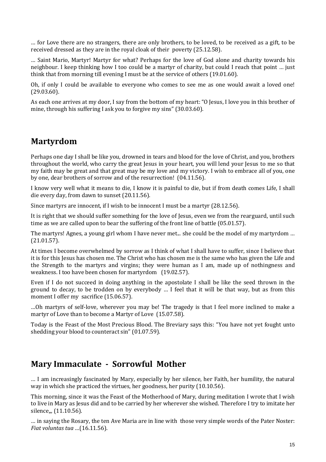… for Love there are no strangers, there are only brothers, to be loved, to be received as a gift, to be received dressed as they are in the royal cloak of their poverty (25.12.58).

… Saint Mario, Martyr! Martyr for what? Perhaps for the love of God alone and charity towards his neighbour. I keep thinking how I too could be a martyr of charity, but could I reach that point … just think that from morning till evening I must be at the service of others (19.01.60).

Oh, if only I could be available to everyone who comes to see me as one would await a loved one! (29.03.60).

As each one arrives at my door, I say from the bottom of my heart: "O Jesus, I love you in this brother of mine, through his suffering I ask you to forgive my sins" (30.03.60).

## **Martyrdom**

Perhaps one day I shall be like you, drowned in tears and blood for the love of Christ, and you, brothers throughout the world, who carry the great Jesus in your heart, you will lend your Jesus to me so that my faith may be great and that great may be my love and my victory. I wish to embrace all of you, one by one, dear brothers of sorrow and of the resurrection! (04.11.56).

I know very well what it means to die, I know it is painful to die, but if from death comes Life, I shall die every day, from dawn to sunset (20.11.56).

Since martyrs are innocent, if I wish to be innocent I must be a martyr (28.12.56).

It is right that we should suffer something for the love of Jesus, even we from the rearguard, until such time as we are called upon to bear the suffering of the front line of battle (05.01.57).

The martyrs! Agnes, a young girl whom I have never met... she could be the model of my martyrdom … (21.01.57).

At times I become overwhelmed by sorrow as I think of what I shall have to suffer, since I believe that it is for this Jesus has chosen me. The Christ who has chosen me is the same who has given the Life and the Strength to the martyrs and virgins; they were human as I am, made up of nothingness and weakness. I too have been chosen for martyrdom (19.02.57).

Even if I do not succeed in doing anything in the apostolate I shall be like the seed thrown in the ground to decay, to be trodden on by everybody … I feel that it will be that way, but as from this moment I offer my sacrifice (15.06.57).

…Oh martyrs of self-love, wherever you may be! The tragedy is that I feel more inclined to make a martyr of Love than to become a Martyr of Love (15.07.58).

Today is the Feast of the Most Precious Blood. The Breviary says this: "You have not yet fought unto shedding your blood to counteract sin" (01.07.59).

#### **Mary Immaculate - Sorrowful Mother**

… I am increasingly fascinated by Mary, especially by her silence, her Faith, her humility, the natural way in which she practiced the virtues, her goodness, her purity (10.10.56).

This morning, since it was the Feast of the Motherhood of Mary, during meditation I wrote that I wish to live in Mary as Jesus did and to be carried by her wherever she wished. Therefore I try to imitate her silence<sub>m</sub> (11.10.56).

… in saying the Rosary, the ten Ave Maria are in line with those very simple words of the Pater Noster: *Fiat voluntas tua* …(16.11.56).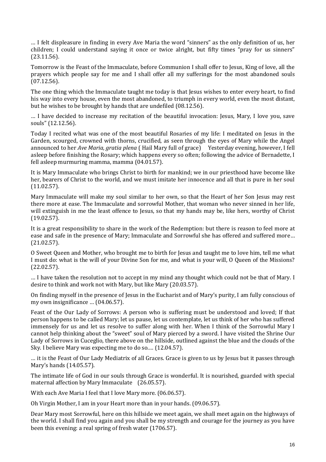… I felt displeasure in finding in every Ave Maria the word "sinners" as the only definition of us, her children; I could understand saying it once or twice alright, but fifty times "pray for us sinners" (23.11.56).

Tomorrow is the Feast of the Immaculate, before Communion I shall offer to Jesus, King of love, all the prayers which people say for me and I shall offer all my sufferings for the most abandoned souls (07.12.56).

The one thing which the Immaculate taught me today is that Jesus wishes to enter every heart, to find his way into every house, even the most abandoned, to triumph in every world, even the most distant, but he wishes to be brought by hands that are undefiled (08.12.56).

… I have decided to increase my recitation of the beautiful invocation: Jesus, Mary, I love you, save souls" (12.12.56).

Today I recited what was one of the most beautiful Rosaries of my life: I meditated on Jesus in the Garden, scourged, crowned with thorns, crucified, as seen through the eyes of Mary while the Angel announced to her *Ave Maria, gratia plena* ( Hail Mary full of grace) Yesterday evening, however, I fell asleep before finishing the Rosary; which happens every so often; following the advice of Bernadette, I fell asleep murmuring mamma, mamma (04.01.57).

It is Mary Immaculate who brings Christ to birth for mankind; we in our priesthood have become like her, bearers of Christ to the world, and we must imitate her innocence and all that is pure in her soul (11.02.57).

Mary Immaculate will make my soul similar to her own, so that the Heart of her Son Jesus may rest there more at ease. The Immaculate and sorrowful Mother, that woman who never sinned in her life, will extinguish in me the least offence to Jesus, so that my hands may be, like hers, worthy of Christ (19.02.57).

It is a great responsibility to share in the work of the Redemption: but there is reason to feel more at ease and safe in the presence of Mary; Immaculate and Sorrowful she has offered and suffered more… (21.02.57).

O Sweet Queen and Mother, who brought me to birth for Jesus and taught me to love him, tell me what I must do: what is the will of your Divine Son for me, and what is your will, O Queen of the Missions? (22.02.57).

… I have taken the resolution not to accept in my mind any thought which could not be that of Mary. I desire to think and work not with Mary, but like Mary (20.03.57).

On finding myself in the presence of Jesus in the Eucharist and of Mary's purity, I am fully conscious of my own insignificance … (04.06.57).

Feast of the Our Lady of Sorrows: A person who is suffering must be understood and loved; If that person happens to be called Mary; let us pause, let us contemplate, let us think of her who has suffered immensely for us and let us resolve to suffer along with her. When I think of the Sorrowful Mary I cannot help thinking about the "sweet" soul of Mary pierced by a sword. I have visited the Shrine Our Lady of Sorrows in Cuceglio, there above on the hillside, outlined against the blue and the clouds of the Sky. I believe Mary was expecting me to do so.… (12.04.57).

… it is the Feast of Our Lady Mediatrix of all Graces. Grace is given to us by Jesus but it passes through Mary's hands (14.05.57).

The intimate life of God in our souls through Grace is wonderful. It is nourished, guarded with special maternal affection by Mary Immaculate (26.05.57).

With each Ave Maria I feel that I love Mary more. (06.06.57).

Oh Virgin Mother, I am in your Heart more than in your hands. (09.06.57).

Dear Mary most Sorrowful, here on this hillside we meet again, we shall meet again on the highways of the world. I shall find you again and you shall be my strength and courage for the journey as you have been this evening: a real spring of fresh water (1706.57).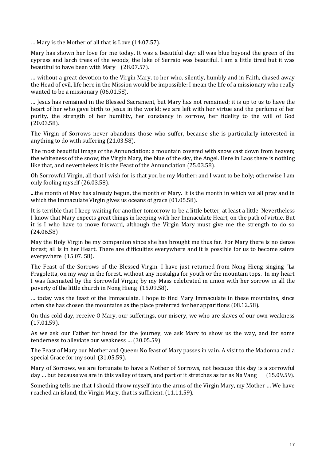… Mary is the Mother of all that is Love (14.07.57).

Mary has shown her love for me today. It was a beautiful day: all was blue beyond the green of the cypress and larch trees of the woods, the lake of Serraio was beautiful. I am a little tired but it was beautiful to have been with Mary (28.07.57).

… without a great devotion to the Virgin Mary, to her who, silently, humbly and in Faith, chased away the Head of evil, life here in the Mission would be impossible: I mean the life of a missionary who really wanted to be a missionary (06.01.58).

… Jesus has remained in the Blessed Sacrament, but Mary has not remained; it is up to us to have the heart of her who gave birth to Jesus in the world; we are left with her virtue and the perfume of her purity, the strength of her humility, her constancy in sorrow, her fidelity to the will of God (20.03.58).

The Virgin of Sorrows never abandons those who suffer, because she is particularly interested in anything to do with suffering (21.03.58).

The most beautiful image of the Annunciation: a mountain covered with snow cast down from heaven; the whiteness of the snow; the Virgin Mary, the blue of the sky, the Angel. Here in Laos there is nothing like that, and nevertheless it is the Feast of the Annunciation (25.03.58).

Oh Sorrowful Virgin, all that I wish for is that you be my Mother: and I want to be holy; otherwise I am only fooling myself (26.03.58).

...the month of May has already begun, the month of Mary. It is the month in which we all pray and in which the Immaculate Virgin gives us oceans of grace (01.05.58).

It is terrible that I keep waiting for another tomorrow to be a little better, at least a little. Nevertheless I know that Mary expects great things in keeping with her Immaculate Heart, on the path of virtue. But it is I who have to move forward, although the Virgin Mary must give me the strength to do so (24.06.58)

May the Holy Virgin be my companion since she has brought me thus far. For Mary there is no dense forest; all is in her Heart. There are difficulties everywhere and it is possible for us to become saints everywhere (15.07. 58).

The Feast of the Sorrows of the Blessed Virgin. I have just returned from Nong Hieng singing "La Fragoletta, on my way in the forest, without any nostalgia for youth or the mountain tops. In my heart I was fascinated by the Sorrowful Virgin; by my Mass celebrated in union with her sorrow in all the poverty of the little church in Nong Hieng (15.09.58).

… today was the feast of the Immaculate. I hope to find Mary Immaculate in these mountains, since often she has chosen the mountains as the place preferred for her apparitions (08.12.58).

On this cold day, receive O Mary, our sufferings, our misery, we who are slaves of our own weakness (17.01.59).

As we ask our Father for bread for the journey, we ask Mary to show us the way, and for some tenderness to alleviate our weakness … (30.05.59).

The Feast of Mary our Mother and Queen: No feast of Mary passes in vain. A visit to the Madonna and a special Grace for my soul (31.05.59).

Mary of Sorrows, we are fortunate to have a Mother of Sorrows, not because this day is a sorrowful day ... but because we are in this valley of tears, and part of it stretches as far as Na Vang (15.09.59).

Something tells me that I should throw myself into the arms of the Virgin Mary, my Mother … We have reached an island, the Virgin Mary, that is sufficient. (11.11.59).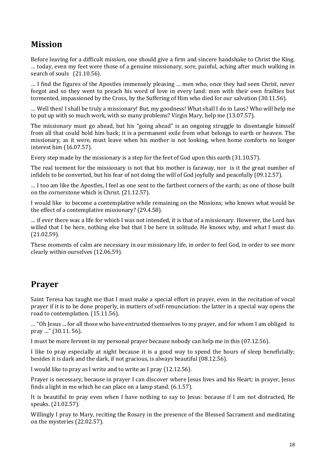# **Mission**

Before leaving for a difficult mission, one should give a firm and sincere handshake to Christ the King. … today, even my feet were those of a genuine missionary, sore, painful, aching after much walking in search of souls (21.10.56).

… I find the figures of the Apostles immensely pleasing … men who, once they had seen Christ, never forgot and so they went to preach his word of love in every land: men with their own frailties but tormented, impassioned by the Cross, by the Suffering of Him who died for our salvation (30.11.56).

… Well then! I shall be truly a missionary! But, my goodness! What shall I do in Laos? Who will help me to put up with so much work, with so many problems? Virgin Mary, help me (13.07.57).

The missionary must go ahead, but his "going ahead" is an ongoing struggle to disentangle himself from all that could hold him back; it is a permanent exile from what belongs to earth or heaven. The missionary, as it were, must leave when his mother is not looking, when home comforts no longer interest him (16.07.57).

Every step made by the missionary is a step for the feet of God upon this earth (31.10.57).

The real torment for the missionary is not that his mother is faraway, nor is it the great number of infidels to be converted, but his fear of not doing the will of God joyfully and peacefully (09.12.57).

… I too am like the Apostles, I feel as one sent to the farthest corners of the earth; as one of those built on the cornerstone which is Christ. (21.12.57).

I would like to become a contemplative while remaining on the Missions; who knows what would be the effect of a contemplative missionary? (29.4.58).

… if ever there was a life for which I was not intended, it is that of a missionary. However, the Lord has willed that I be here, nothing else but that I be here in solitude. He knows why, and what I must do. (21.02.59).

These moments of calm are necessary in our missionary life, in order to feel God, in order to see more clearly within ourselves (12.06.59).

## **Prayer**

Saint Teresa has taught me that I must make a special effort in prayer, even in the recitation of vocal prayer if it is to be done properly, in matters of self-renunciation: the latter in a special way opens the road to contemplation. (15.11.56).

… "Oh Jesus ... for all those who have entrusted themselves to my prayer, and for whom I am obliged to pray …" (30.11. 56).

I must be more fervent in my personal prayer because nobody can help me in this (07.12.56).

I like to pray especially at night because it is a good way to spend the hours of sleep beneficially; besides it is dark and the dark, if not gracious, is always beautiful (08.12.56).

I would like to pray as I write and to write as I pray (12.12.56).

Prayer is necessary, because in prayer I can discover where Jesus lives and his Heart; in prayer, Jesus finds a light in me which he can place on a lamp stand. (6.1.57).

It is beautiful to pray even when I have nothing to say to Jesus: because if I am not distracted, He speaks. (21.02.57).

Willingly I pray to Mary, reciting the Rosary in the presence of the Blessed Sacrament and meditating on the mysteries (22.02.57).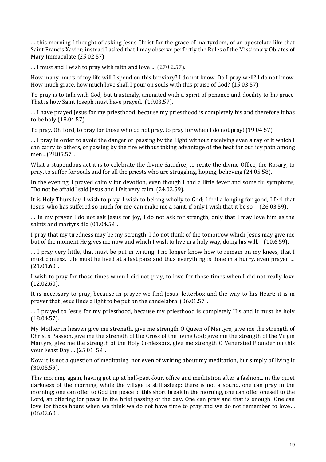… this morning I thought of asking Jesus Christ for the grace of martyrdom, of an apostolate like that Saint Francis Xavier; instead I asked that I may observe perfectly the Rules of the Missionary Oblates of Mary Immaculate (25.02.57).

… I must and I wish to pray with faith and love … (270.2.57).

How many hours of my life will I spend on this breviary? I do not know. Do I pray well? I do not know. How much grace, how much love shall I pour on souls with this praise of God? (15.03.57).

To pray is to talk with God, but trustingly, animated with a spirit of penance and docility to his grace. That is how Saint Joseph must have prayed. (19.03.57).

… I have prayed Jesus for my priesthood, because my priesthood is completely his and therefore it has to be holy (18.04.57).

To pray, Oh Lord, to pray for those who do not pray, to pray for when I do not pray! (19.04.57).

… I pray in order to avoid the danger of passing by the Light without receiving even a ray of it which I can carry to others, of passing by the fire without taking advantage of the heat for our icy path among men…(28.05.57).

What a stupendous act it is to celebrate the divine Sacrifice, to recite the divine Office, the Rosary, to pray, to suffer for souls and for all the priests who are struggling, hoping, believing (24.05.58).

In the evening, I prayed calmly for devotion, even though I had a little fever and some flu symptoms, "Do not be afraid" said Jesus and I felt very calm (24.02.59).

It is Holy Thursday. I wish to pray, I wish to belong wholly to God; I feel a longing for good, I feel that Jesus, who has suffered so much for me, can make me a saint, if only I wish that it be so (26.03.59).

… In my prayer I do not ask Jesus for joy, I do not ask for strength, only that I may love him as the saints and martyrs did (01.04.59).

I pray that my tiredness may be my strength. I do not think of the tomorrow which Jesus may give me but of the moment He gives me now and which I wish to live in a holy way, doing his will. (10.6.59).

… I pray very little, that must be put in writing. I no longer know how to remain on my knees, that I must confess. Life must be lived at a fast pace and thus everything is done in a hurry, even prayer … (21.01.60).

I wish to pray for those times when I did not pray, to love for those times when I did not really love (12.02.60).

It is necessary to pray, because in prayer we find Jesus' letterbox and the way to his Heart; it is in prayer that Jesus finds a light to be put on the candelabra. (06.01.57).

… I prayed to Jesus for my priesthood, because my priesthood is completely His and it must be holy (18.04.57).

My Mother in heaven give me strength, give me strength O Queen of Martyrs, give me the strength of Christ's Passion, give me the strength of the Cross of the living God; give me the strength of the Virgin Martyrs, give me the strength of the Holy Confessors, give me strength O Venerated Founder on this your Feast Day … (25.01. 59).

Now it is not a question of meditating, nor even of writing about my meditation, but simply of living it (30.05.59).

This morning again, having got up at half-past-four, office and meditation after a fashion... in the quiet darkness of the morning, while the village is still asleep; there is not a sound, one can pray in the morning; one can offer to God the peace of this short break in the morning, one can offer oneself to the Lord, an offering for peace in the brief passing of the day. One can pray and that is enough. One can love for those hours when we think we do not have time to pray and we do not remember to love… (06.02.60).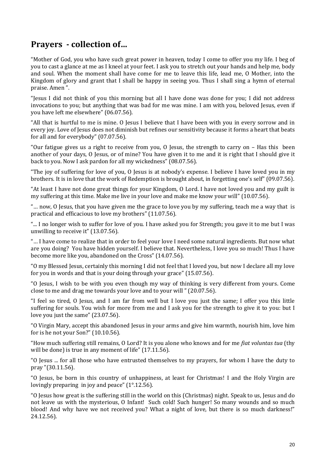## **Prayers - collection of…**

"Mother of God, you who have such great power in heaven, today I come to offer you my life. I beg of you to cast a glance at me as I kneel at your feet. I ask you to stretch out your hands and help me, body and soul. When the moment shall have come for me to leave this life, lead me, O Mother, into the Kingdom of glory and grant that I shall be happy in seeing you. Thus I shall sing a hymn of eternal praise. Amen ".

"Jesus I did not think of you this morning but all I have done was done for you; I did not address invocations to you; but anything that was bad for me was mine. I am with you, beloved Jesus, even if you have left me elsewhere" (06.07.56).

"All that is hurtful to me is mine. O Jesus I believe that I have been with you in every sorrow and in every joy. Love of Jesus does not diminish but refines our sensitivity because it forms a heart that beats for all and for everybody" (07.07.56).

"Our fatigue gives us a right to receive from you, O Jesus, the strength to carry on – Has this been another of your days, O Jesus, or of mine? You have given it to me and it is right that I should give it back to you. Now I ask pardon for all my wickedness" (08.07.56).

"The joy of suffering for love of you, O Jesus is at nobody's expense. I believe I have loved you in my brothers. It is in love that the work of Redemption is brought about, in forgetting one's self" (09.07.56).

"At least I have not done great things for your Kingdom, O Lord. I have not loved you and my guilt is my suffering at this time. Make me live in your love and make me know your will" (10.07.56).

"… now, O Jesus, that you have given me the grace to love you by my suffering, teach me a way that is practical and efficacious to love my brothers" (11.07.56).

"... I no longer wish to suffer for love of you. I have asked you for Strength; you gave it to me but I was unwilling to receive it" (13.07.56).

"… I have come to realize that in order to feel your love I need some natural ingredients. But now what are you doing? You have hidden yourself. I believe that. Nevertheless, I love you so much! Thus I have become more like you, abandoned on the Cross" (14.07.56).

"O my Blessed Jesus, certainly this morning I did not feel that I loved you, but now I declare all my love for you in words and that is your doing through your grace" (15.07.56).

"O Jesus, I wish to be with you even though my way of thinking is very different from yours. Come close to me and drag me towards your love and to your will " (20.07.56).

"I feel so tired, O Jesus, and I am far from well but I love you just the same; I offer you this little suffering for souls. You wish for more from me and I ask you for the strength to give it to you: but I love you just the same" (23.07.56).

"O Virgin Mary, accept this abandoned Jesus in your arms and give him warmth, nourish him, love him for is he not your Son?" (10.10.56).

"How much suffering still remains, O Lord? It is you alone who knows and for me *fiat voluntas tua* (thy will be done) is true in any moment of life" (17.11.56).

"O Jesus ... for all those who have entrusted themselves to my prayers, for whom I have the duty to pray "(30.11.56).

"O Jesus, be born in this country of unhappiness, at least for Christmas! I and the Holy Virgin are lovingly preparing in joy and peace" (1°.12.56).

"O Jesus how great is the suffering still in the world on this (Christmas) night. Speak to us, Jesus and do not leave us with the mysterious, O Infant! Such cold! Such hunger! So many wounds and so much blood! And why have we not received you? What a night of love, but there is so much darkness!" 24.12.56).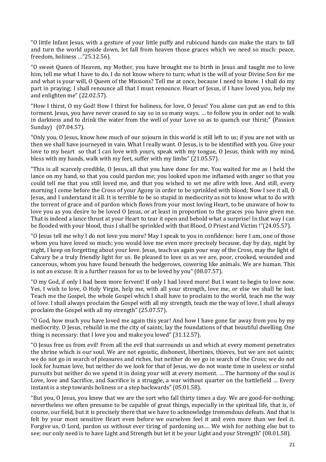"O little Infant Jesus, with a gesture of your little puffy and rubicund hands can make the stars to fall and turn the world upside down, let fall from heaven those graces which we need so much: peace, freedom, holiness …"25.12.56).

"O sweet Queen of Heaven, my Mother, you have brought me to birth in Jesus and taught me to love him, tell me what I have to do. I do not know where to turn; what is the will of your Divine Son for me and what is your will, O Queen of the Missions? Tell me at once, because I need to know. I shall do my part in praying; I shall renounce all that I must renounce. Heart of Jesus, if I have loved you, help me and enlighten me" (22.02.57).

"How I thirst, O my God! How I thirst for holiness, for love, O Jesus! You alone can put an end to this torment. Jesus, you have never ceased to say so in so many ways. … to follow you in order not to walk in darkness and to drink the water from the well of your Love so as to quench our thirst;" (Passion Sunday) (07.04.57).

"Only you, O Jesus, know how much of our sojourn in this world is still left to us; if you are not with us then we shall have journeyed in vain. What I really want. O Jesus, is to be identified with you. Give your love to my heart so that I can love with yours, speak with my tongue, O Jesus, think with my mind, bless with my hands, walk with my feet, suffer with my limbs" (21.05.57).

"This is all scarcely credible, O Jesus, all that you have done for me. You waited for me as I held the lance on my hand, so that you could pardon me; you looked upon me inflamed with anger so that you could tell me that you still loved me, and that you wished to set me afire with love. And still, every morning I come before the Cross of your Agony in order to be sprinkled with blood; Now I see it all, O Jesus, and I understand it all. It is terrible to be so stupid in mediocrity as not to know what to do with the torrent of grace and of pardon which flows from your most loving Heart, to be unaware of how to love you as you desire to be loved O Jesus, or at least in proportion to the graces you have given me. That is indeed a lance thrust at your Heart to tear it open and behold what a surprise! In that way I can be flooded with your blood, thus I shall be sprinkled with that Blood, O Priest and Victim !"(24.05.57).

"O Jesus tell me why I do not love you more? May I speak to you in confidence: here I am, one of those whom you have loved so much; you would love me even more precisely because, day by day, night by night, I keep on forgetting about your love. Jesus, teach us again your way of the Cross, may the light of Calvary be a truly friendly light for us. Be pleased to love us as we are, poor, crooked, wounded and cancerous, whom you have found beneath the hedgerows, cowering like animals. We are human. This is not an excuse. It is a further reason for us to be loved by you" (08.07.57).

"O my God, if only I had been more fervent! If only I had loved more! But I want to begin to love now. Yes, I wish to love, O Holy Virgin, help me, with all your strength, love me, or else we shall be lost. Teach me the Gospel, the whole Gospel which I shall have to proclaim to the world, teach me the way of love. I shall always proclaim the Gospel with all my strength, teach me the way of love, I shall always proclaim the Gospel with all my strength" (25.07.57).

"O God, how much you have loved me again this year! And how I have gone far away from you by my mediocrity. O Jesus, rebuild in me the city of saints, lay the foundations of that beautiful dwelling. One thing is necessary: that I love you and make you loved" (31.12.57).

"O Jesus free us from evil! From all the evil that surrounds us and which at every moment penetrates the shrine which is our soul. We are not egoistic, dishonest, libertines, thieves, but we are not saints; we do not go in search of pleasures and riches, but neither do we go in search of the Cross; we do not look for human love, but neither do we look for that of Jesus, we do not waste time in useless or sinful pursuits but neither do we spend it in doing your will at every moment. … The harmony of the soul is Love, love and Sacrifice, and Sacrifice is a struggle, a war without quarter on the battlefield … Every instant is a step towards holiness or a step backwards" (05.01.58).

"But you, O Jesus, you knew that we are the sort who fall thirty times a day. We are good-for-nothing; nevertheless we often presume to be capable of great things, especially in the spiritual life, that is, of course, our field, but it is precisely there that we have to acknowledge tremendous defeats. And that is felt by your most sensitive Heart even before we ourselves feel it and even more than we feel it. Forgive us, O Lord, pardon us without ever tiring of pardoning us…. We wish for nothing else but to see; our only need is to have Light and Strength but let it be your Light and your Strength" (08.01.58).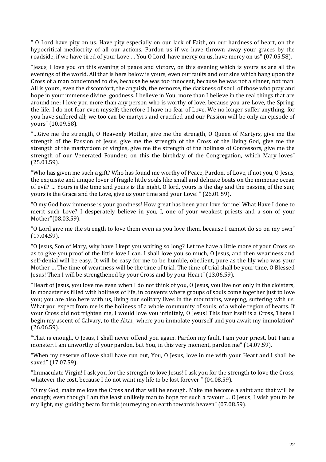" O Lord have pity on us. Have pity especially on our lack of Faith, on our hardness of heart, on the hypocritical mediocrity of all our actions. Pardon us if we have thrown away your graces by the roadside, if we have tired of your Love … You O Lord, have mercy on us, have mercy on us" (07.05.58).

"Jesus, I love you on this evening of peace and victory, on this evening which is yours as are all the evenings of the world. All that is here below is yours, even our faults and our sins which hang upon the Cross of a man condemned to die, because he was too innocent, because he was not a sinner, not man. All is yours, even the discomfort, the anguish, the remorse, the darkness of soul of those who pray and hope in your immense divine goodness. I believe in You, more than I believe in the real things that are around me; I love you more than any person who is worthy of love, because you are Love, the Spring, the life. I do not fear even myself; therefore I have no fear of Love. We no longer suffer anything, for you have suffered all; we too can be martyrs and crucified and our Passion will be only an episode of yours" (10.09.58).

"…Give me the strength, O Heavenly Mother, give me the strength, O Queen of Martyrs, give me the strength of the Passion of Jesus, give me the strength of the Cross of the living God, give me the strength of the martyrdom of virgins, give me the strength of the holiness of Confessors, give me the strength of our Venerated Founder; on this the birthday of the Congregation, which Mary loves" (25.01.59).

"Who has given me such a gift? Who has found me worthy of Peace, Pardon, of Love, if not you, O Jesus, the exquisite and unique lover of fragile little souls like small and delicate boats on the immense ocean of evil? … Yours is the time and yours is the night, O lord, yours is the day and the passing of the sun; yours is the Grace and the Love, give us your time and your Love! " (26.01.59).

"O my God how immense is your goodness! How great has been your love for me! What Have I done to merit such Love? I desperately believe in you, I, one of your weakest priests and a son of your Mother"(08.03.59).

"O Lord give me the strength to love them even as you love them, because I cannot do so on my own" (17.04.59).

"O Jesus, Son of Mary, why have I kept you waiting so long? Let me have a little more of your Cross so as to give you proof of the little love I can. I shall love you so much, O Jesus, and then weariness and self-denial will be easy. It will be easy for me to be humble, obedient, pure as the lily who was your Mother … The time of weariness will be the time of trial. The time of trial shall be your time, O Blessed Jesus! Then I will be strengthened by your Cross and by your Heart" (13.06.59).

"Heart of Jesus, you love me even when I do not think of you, O Jesus, you live not only in the cloisters, in monasteries filled with holiness of life, in convents where groups of souls come together just to love you; you are also here with us, living our solitary lives in the mountains, weeping, suffering with us. What you expect from me is the holiness of a whole community of souls, of a whole region of hearts. If your Cross did not frighten me, I would love you infinitely, O Jesus! This fear itself is a Cross, There I begin my ascent of Calvary, to the Altar, where you immolate yourself and you await my immolation" (26.06.59).

"That is enough, O Jesus, I shall never offend you again. Pardon my fault, I am your priest, but I am a monster. I am unworthy of your pardon, but You, in this very moment, pardon me" (14.07.59).

"When my reserve of love shall have run out, You, O Jesus, love in me with your Heart and I shall be saved" (17.07.59).

"Immaculate Virgin! I ask you for the strength to love Jesus! I ask you for the strength to love the Cross, whatever the cost, because I do not want my life to be lost forever " (04.08.59).

"O my God, make me love the Cross and that will be enough. Make me become a saint and that will be enough; even though I am the least unlikely man to hope for such a favour … O Jesus, I wish you to be my light, my guiding beam for this journeying on earth towards heaven" (07.08.59).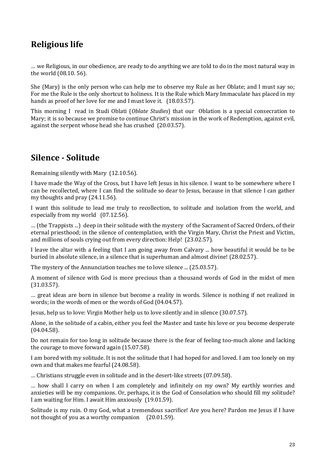# **Religious life**

… we Religious, in our obedience, are ready to do anything we are told to do in the most natural way in the world (08.10. 56).

She (Mary) is the only person who can help me to observe my Rule as her Oblate; and I must say so; For me the Rule is the only shortcut to holiness. It is the Rule which Mary Immaculate has placed in my hands as proof of her love for me and I must love it. (18.03.57).

This morning I read in Studi Oblati (*Oblate Studies*) that our Oblation is a special consecration to Mary; it is so because we promise to continue Christ's mission in the work of Redemption, against evil, against the serpent whose head she has crushed (20.03.57).

#### **Silence - Solitude**

Remaining silently with Mary (12.10.56).

I have made the Way of the Cross, but I have left Jesus in his silence. I want to be somewhere where I can be recollected, where I can find the solitude so dear to Jesus, because in that silence I can gather my thoughts and pray (24.11.56).

I want this solitude to lead me truly to recollection, to solitude and isolation from the world, and especially from my world (07.12.56).

… (the Trappists ...) deep in their solitude with the mystery of the Sacrament of Sacred Orders, of their eternal priesthood; in the silence of contemplation, with the Virgin Mary, Christ the Priest and Victim, and millions of souls crying out from every direction: Help! (23.02.57).

I leave the altar with a feeling that I am going away from Calvary ... how beautiful it would be to be buried in absolute silence, in a silence that is superhuman and almost divine! (28.02.57).

The mystery of the Annunciation teaches me to love silence ... (25.03.57).

A moment of silence with God is more precious than a thousand words of God in the midst of men (31.03.57).

… great ideas are born in silence but become a reality in words. Silence is nothing if not realized in words; in the words of men or the words of God (04.04.57).

Jesus, help us to love: Virgin Mother help us to love silently and in silence (30.07.57).

Alone, in the solitude of a cabin, either you feel the Master and taste his love or you become desperate (04.04.58).

Do not remain for too long in solitude because there is the fear of feeling too-much alone and lacking the courage to move forward again (15.07.58).

I am bored with my solitude. It is not the solitude that I had hoped for and loved. I am too lonely on my own and that makes me fearful (24.08.58).

… Christians struggle even in solitude and in the desert-like streets (07.09.58).

… how shall I carry on when I am completely and infinitely on my own? My earthly worries and anxieties will be my companions. Or, perhaps, it is the God of Consolation who should fill my solitude? I am waiting for Him. I await Him anxiously (19.01.59).

Solitude is my ruin. O my God, what a tremendous sacrifice! Are you here? Pardon me Jesus if I have not thought of you as a worthy companion (20.01.59).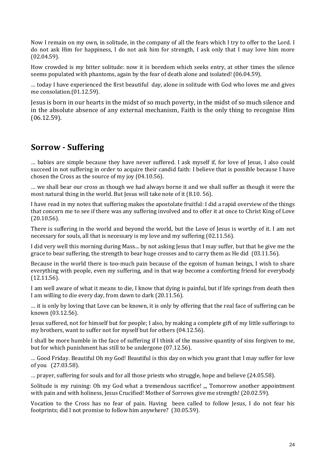Now I remain on my own, in solitude, in the company of all the fears which I try to offer to the Lord. I do not ask Him for happiness, I do not ask him for strength, I ask only that I may love him more (02.04.59).

How crowded is my bitter solitude: now it is boredom which seeks entry, at other times the silence seems populated with phantoms, again by the fear of death alone and isolated! (06.04.59).

… today I have experienced the first beautiful day, alone in solitude with God who loves me and gives me consolation.(01.12.59).

Jesus is born in our hearts in the midst of so much poverty, in the midst of so much silence and in the absolute absence of any external mechanism, Faith is the only thing to recognise Him (06.12.59).

## **Sorrow - Suffering**

… babies are simple because they have never suffered. I ask myself if, for love of Jesus, I also could succeed in not suffering in order to acquire their candid faith: I believe that is possible because I have chosen the Cross as the source of my joy (04.10.56).

… we shall bear our cross as though we had always borne it and we shall suffer as though it were the most natural thing in the world. But Jesus will take note of it (8.10, 56).

I have read in my notes that suffering makes the apostolate fruitful: I did a rapid overview of the things that concern me to see if there was any suffering involved and to offer it at once to Christ King of Love (20.10.56).

There is suffering in the world and beyond the world, but the Love of Jesus is worthy of it. I am not necessary for souls, all that is necessary is my love and my suffering (02.11.56).

I did very well this morning during Mass... by not asking Jesus that I may suffer, but that he give me the grace to bear suffering, the strength to bear huge crosses and to carry them as He did (03.11.56).

Because in the world there is too-much pain because of the egoism of human beings, I wish to share everything with people, even my suffering, and in that way become a comforting friend for everybody (12.11.56).

I am well aware of what it means to die, I know that dying is painful, but if life springs from death then I am willing to die every day, from dawn to dark (20.11.56).

… it is only by loving that Love can be known, it is only by offering that the real face of suffering can be known (03.12.56).

Jesus suffered, not for himself but for people; I also, by making a complete gift of my little sufferings to my brothers, want to suffer not for myself but for others (04.12.56).

I shall be more humble in the face of suffering if I think of the massive quantity of sins forgiven to me, but for which punishment has still to be undergone (07.12.56).

… Good Friday. Beautiful Oh my God! Beautiful is this day on which you grant that I may suffer for love of you (27.03.58).

… prayer, suffering for souls and for all those priests who struggle, hope and believe (24.05.58).

Solitude is my ruining: Oh my God what a tremendous sacrifice! ", Tomorrow another appointment with pain and with holiness, Jesus Crucified! Mother of Sorrows give me strength! (20.02.59).

Vocation to the Cross has no fear of pain. Having been called to follow Jesus, I do not fear his footprints; did I not promise to follow him anywhere? (30.05.59).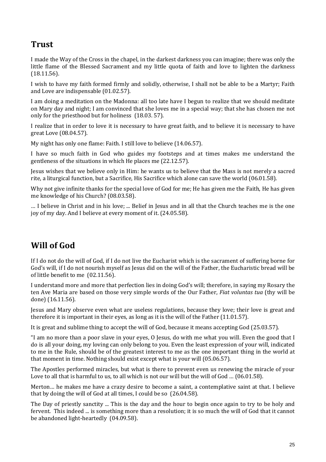## **Trust**

I made the Way of the Cross in the chapel, in the darkest darkness you can imagine; there was only the little flame of the Blessed Sacrament and my little quota of faith and love to lighten the darkness (18.11.56).

I wish to have my faith formed firmly and solidly, otherwise, I shall not be able to be a Martyr; Faith and Love are indispensable (01.02.57).

I am doing a meditation on the Madonna: all too late have I begun to realize that we should meditate on Mary day and night; I am convinced that she loves me in a special way; that she has chosen me not only for the priesthood but for holiness (18.03. 57).

I realize that in order to love it is necessary to have great faith, and to believe it is necessary to have great Love (08.04.57).

My night has only one flame: Faith. I still love to believe (14.06.57).

I have so much faith in God who guides my footsteps and at times makes me understand the gentleness of the situations in which He places me (22.12.57).

Jesus wishes that we believe only in Him: he wants us to believe that the Mass is not merely a sacred rite, a liturgical function, but a Sacrifice, His Sacrifice which alone can save the world (06.01.58).

Why not give infinite thanks for the special love of God for me; He has given me the Faith, He has given me knowledge of his Church? (08.03.58).

… I believe in Christ and in his love; ... Belief in Jesus and in all that the Church teaches me is the one joy of my day. And I believe at every moment of it. (24.05.58).

## **Will of God**

If I do not do the will of God, if I do not live the Eucharist which is the sacrament of suffering borne for God's will, if I do not nourish myself as Jesus did on the will of the Father, the Eucharistic bread will be of little benefit to me (02.11.56).

I understand more and more that perfection lies in doing God's will; therefore, in saying my Rosary the ten Ave Maria are based on those very simple words of the Our Father, *Fiat voluntas tua* (thy will be done) (16.11.56).

Jesus and Mary observe even what are useless regulations, because they love; their love is great and therefore it is important in their eyes, as long as it is the will of the Father (11.01.57).

It is great and sublime thing to accept the will of God, because it means accepting God (25.03.57).

"I am no more than a poor slave in your eyes, O Jesus, do with me what you will. Even the good that I do is all your doing, my loving can only belong to you. Even the least expression of your will, indicated to me in the Rule, should be of the greatest interest to me as the one important thing in the world at that moment in time. Nothing should exist except what is your will (05.06.57).

The Apostles performed miracles, but what is there to prevent even us renewing the miracle of your Love to all that is harmful to us, to all which is not our will but the will of God ... (06.01.58).

Merton… he makes me have a crazy desire to become a saint, a contemplative saint at that. I believe that by doing the will of God at all times, I could be so (26.04.58).

The Day of priestly sanctity ... This is the day and the hour to begin once again to try to be holy and fervent. This indeed ... is something more than a resolution; it is so much the will of God that it cannot be abandoned light-heartedly (04.09.58).